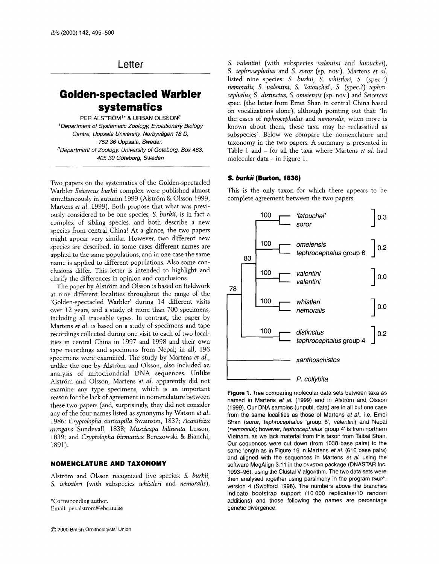## Letter

# **Golden-spectacled Warbler systematics**

PER ALSTRÖM<sup>1\*</sup> & URBAN OLSSON<sup>2</sup> Department *of* Systematic Zoology, Evolutionary Biology Centre, Uppsala University, Norbyvagen *18* D, 752 36 Uppsala, Sweden "Department *of* Zoologx University *of* Goteborg, *Box 463, 405* 30 Goteborg, Sweden

Two papers on the systematics of the Golden-spectacled Warbler *Seicercus burkii* complex were published almost simultaneously in autumn 1999 (Alström & Olsson 1999, Martens *et al.* 1999). Both propose that what was previously considered to be one species, S. *burkii,* is in fact a complex of sibling species, and both describe a new species from central China! At a glance, the two papers might appear very similar. However, two different new species are described, in some cases different names are applied to the same populations, and in one case the same name is applied to different populations. Also some conclusions differ. This letter is intended to highlight and clarify the differences in opinion and conclusions.

The paper by Alström and Olsson is based on fieldwork at nine different localities throughout the range of the 'Golden-spectacled Warbler' during 14 different visits over 12 years, and a study of more than 700 specimens, including all traceable types. In contrast, the paper by Martens *et al.* is based on a study of specimens and tape recordings collected during one visit to each of two localities in central China in 1997 and 1998 and their own tape recordings and specimens from Nepal; in all, 196 specimens were examined. The study by Martens *et al.,*  unlike the one by Alström and Olsson, also included an analysis of mitochondria1 DNA sequences. Unlike Alström and Olsson, Martens *et al.* apparently did not examine any type specimens, which is an important reason for the lack of agreement in nomenclature between these two papers (and, surprisingly, they did not consider any of the four names listed as synonyms by Watson *et al.*  1986: *Cyptolopha auricapilla* Swainson, 1837; *Acanthiza arrogans* Sundevall, 183 *8; Muscicapa bilineata* Lesson, 1839; and *Cyptolopha bimanica* Berezowski & Bianchi, 1891).

## **NOMENCLATURE AND TAXONOMY**

Alström and Olsson recognized five species: S. *burkii*, S. *whistleri* (with subspecies *whistleri* and *nemoralis),* 

\*Corresponding author. Email: per.alstrom@ebc.uu.se

*S. valentini* (with subspecies *valentini* and *latouchei), S. tephrocephalus* and S. *soror* (sp. nov.). Martens *et al.*  listed nine species: *S. burkii,* S. *whistleri, S.* (spec.?) *nemoralis, S. valentini, S. 'latouckei', S.* (spec.?) *tephrocepkalus,* S. *distinctus, S. omeiensis* (sp. nov.) and *Seicercus*  spec. (the latter from Emei Shan in central China based on vocalizations alone), although pointing out that: 'In the cases of *tephrocephalus* and *nemoralis,* when more is known about them, these taxa may be reclassified as subspecies'. Below we compare the nomenclature and taxonomy in the two papers. A summary is presented in Table 1 and - for all the taxa where Martens *et al.* had molecular data - in Figure 1.

## **S.** *burkii* **(Burton, 1836)**

This is the only taxon for which there appears to be complete agreement between the two papers.



**Figure 1.** Tree comparing molecular data sets between taxa as named in Martens et al. (1999) and in Alström and Olsson (1999). Our DNA samples (unpubl. data) are in all but one case from the same localities as those of Martens et al., i.e. Emei Shan *(soror, tephrocephalus 'group 6', valentini)* and Nepal (nemoralis); however, tephrocephalus 'group 4' is from northern Vietnam, as we lack material from this taxon from Taibai Shan. Our sequences were cut down (from 1038 base pairs) to the same length as in Figure 16 in Martens et *a/.* (616 base pairs) and aligned with the sequences in Martens et *a/.* using the software MegAlign 3.11 in the **DNASTAR package** (DNASTAR Inc. 1993-96), using the Clustal V algorithm. The two data sets were then analysed together using parsimony in the program **PAUP\*,**  version 4 (Swofford 1998). The numbers above the branches indicate bootstrap support (10 000 replicates/10 random additions) and those following the names are percentage genetic divergence.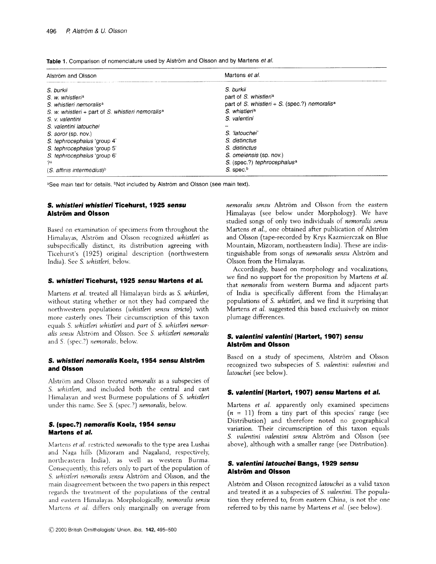| Alström and Olsson                                            | Martens et al.                                             |
|---------------------------------------------------------------|------------------------------------------------------------|
| S. burkii                                                     | S. burkii                                                  |
| S. w. whistleria                                              | part of S. whistleria                                      |
| S. whistleri nemoralis <sup>a</sup>                           | part of S. whistler $+$ S. (spec.?) nemoralis <sup>a</sup> |
| S. w. whistleri + part of S. whistleri nemoralis <sup>a</sup> | S. whistleria                                              |
| S. v. valentini                                               | S. valentini                                               |
| S. valentini latouchei                                        |                                                            |
| S. soror (sp. nov.)                                           | S. 'latouchei'                                             |
| S. tephrocephalus 'group 4'                                   | S. distinctus                                              |
| S. tephrocephalus 'group 5'                                   | S. distinctus                                              |
| S. tephrocephalus 'group 6'                                   | S. omeiensis (sp. nov.)                                    |
| ?a                                                            | S. (spec.?) tephrocephalus <sup>a</sup>                    |
| $(S.$ affinis intermedius) <sup>b</sup>                       | S. spec. <sup>b</sup>                                      |

Table 1. Comparison of nomenclature used by Alström and Olsson and by Martens *et al.* 

aSee main text for details. <sup>b</sup>Not included by Alström and Olsson (see main text).

## *S. whistleri whistleri* **Ticehurst, 1925** *sensu*  **Alstrom and Olsson**

Based on examination of specimens from throughout the Himalayas, Alström and Olsson recognized *whistleri* as subspecifically distinct, its distribution agreeing with Ticehurst's (1925) original description (northwestern India). See S. *whistleri,* below.

## *S. whistleri* **Ticehurst, 1925** *sensu* **Martens** *et a/.*

Martens *et al.* treated all Himalayan birds as S. *whistleri,*  without stating whether or not they had compared the northwestern populations *(whistleri sensu stricto)* with more easterly ones. Their circumscription of this taxon equals S. *uihistleri whistleri* and *part* of S. *whistleri nemor*alis sensu Alström and Olsson. See S. whistleri nemoralis and *S.* (spec.?) *nemoralis,* below.

## *S. whistleri nemoralis* **Koelz, 1954** *sensu* **Alstrom and Olsson**

Alström and Olsson treated *nemoralis* as a subspecies of S. whistleri, and included both the central and east Himalavan and west Burmese populations of S. whistleri under this name. See S. (spec.?) *nemoralis*, below.

## **S. (spec.?)** *nemoralis* **Koelz, 1954** *sensu*  **Martens** *et a/.*

Martens *et al.* restricted *nemoralis* to the type area Lushai and Naga hills (Mizoram and Nagaland, respectively, northeastern India), as well as western Burma. Consequently, this refers only to part of the population of S. whistleri nemoralis sensu Alström and Olsson, and the main disagreement between the two papers in this respect regards the treatment of the populations of the central and eastern Himalayas. Morphologically, *nemoralis sensu* Martens et al. differs only marginally on average from

*nemoralis sensu* Alström and Olsson from the eastern Himalayas (see below under Morphology). We have studied songs of only two individuals of *nemoralis sensu*  Martens *et al.*, one obtained after publication of Alström and Olsson (tape-recorded by Krys Kazmierczak on Blue Mountain, Mizoram, northeastern India). These are indistinguishable from songs of *nemoralis sensu* Alström and Olsson from the Himalayas.

Accordingly, based on morphology and vocalizations, we find no support for the proposition by Martens *et al.*  that *nemoralis* from western Burma and adjacent parts of India is specifically different from the Himalayan populations of S. *whistleri,* and we find it surprising that Martens *et al.* suggested this based exclusively on minor plumage differences.

## **S.** *valentini valentini* **(Hartert, 1907)** *sensu*  **Alstrom and Olsson**

Based on a study of specimens, Alström and Olsson recognized two subspecies of S. *valentini: valentini* and *latouchei* (see below).

## *S. valentini* **(Hartert, 1907)** *sensu* **Martens** *et al.*

Martens *et al.* apparently only examined specimens  $(n = 11)$  from a tiny part of this species' range (see Distribution) and therefore noted no geographical variation. Their circumscription of this taxon equals S. *valentini valentini sensu* Alström and Olsson (see above), although with a smaller range (see Distribution)

## *S. valentini latouchei* **Bangs, 1929** *sensu*  **Alstrom and Olsson**

Alström and Olsson recognized *latouchei* as a valid taxon and treated it as a subspecies of *S. valentini*. The population they referred to, from eastern China, is not the one referred to by this name by Martens *et al.* (see below).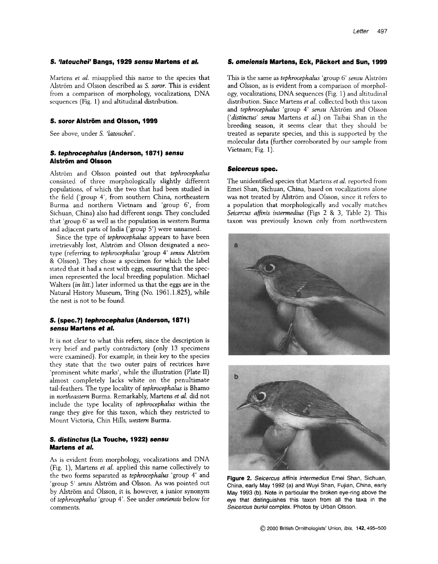#### **S.** *'latouchei'* **Bangs, 1929** *sensu* **Martens** *et a/.*

Martens *et al.* misapplied this name to the species that Alström and Olsson described as S. soror. This is evident from a comparison of morphology, vocalizations, DNA sequences (Fig. 1) and altitudinal distribution.

## **S.** *sow* **Alstrom and Olsson, I999**

See above, under S. *'latouchei'.* 

## **S.** *tephrocephalus* **(Anderson, 1871)** *sensu*  **Alstrom and Olsson**

Alström and Olsson pointed out that *tephrocephalus* consisted of three morphologically slightly different populations, of which the two that had been studied in the field ('group 4', from southern China, northeastern Burma and northern Vietnam and 'group 6', from Sichuan, China) also had different songs. They concluded that 'group 6' as well as the population in western Burma and adjacent parts of India ('group 5') were unnamed.

Since the type of *tephrocephalus* appears to have been irretrievably lost, Alström and Olsson designated a neotype (referring to *tephrocephalus* 'group 4' *sensu* Alstrom & Olsson). They chose a specimen for which the label stated that it had a nest with eggs, ensuring that the specimen represented the local breeding population. Michael Walters *(in litt.)* later informed us that the eggs are in the Natural History Museum, Tring (No. 1961.1.825), while the nest is not to be found.

## **S. (spec.?)** *tephrocephalus* **(Anderson, 1871)**  *sensu* **Martens** *et a/.*

It is not clear to what this refers, since the description is very brief and partly contradictory (only 13 specimens were examined). For example, in their key to the species they state that the two outer pairs of rectrices have 'prominent white marks', while the illustration (Plate 11) almost completely lacks white on the penultimate tail-feathers. The type locality of *tephrocephalus* is Bhamo in *northeastern* Burma. Remarkably, Martens *et al.* did not include the type locality of *tephrocephalus* within the range they give for this taxon, which they restricted to Mount Victoria, Chin Hills, *western* Burma.

## *S. distinctus* **(La Touche, 1922)** *sensu*  **Martens** *et a/.*

**As** is evident from morphology, vocalizations and DNA (Fig. 13, Martens *et al.* applied this name collectively to the two forms separated as *tephrocephalus* 'group 4' and 'group 5' sensu Alström and Olsson. As was pointed out by Alström and Olsson, it is, however, a junior synonym of *tephrocephalus* 'group **4'.** See under *omeimis* below for comments.

#### **S.** *omeiensis* **Martens, Eck, Packert and Sun, 1999**

This is the same as *tephrocephalus* 'group 6' *sensu* Alstrom and Olsson, as is evident from a comparison of morphol*ogy,* vocalizations, DNA sequences (Fig. 1) and altitudinal distribution. Since Martens *et al.* collected both this taxon and *tephrocephalus* 'group 4' sensu Alström and Olsson *('distinctus' sensu* Martens *et al.)* on Taibai Shan in the breeding season, it seems clear that they should be treated as separate species, and this is supported by the molecular data (further corroborated by our sample from Vietnam; Fig. 1).

### *Seicercus* **spec.**

The unidentified species that Martens *et al.* reported from Emei Shan, Sichuan, China, based on vocalizations alone was not treated by Alström and Olsson, since it refers to a population that morphologically and vocally matches *Seicercus affinis intermedius* (Figs *2* & 3, Table 2). This taxon was previously known only from northwestern





**Figure 2.** *Seicercus affinis intermedius* Emei Shan, Sichuan, China, early May **1992** (a) and Wuyi Shan, Fujian, China, early May **1993 (b).** Note in particular the broken eye-ring above the eye that distinguishes this taxon from all the taxa in the *Seicercus burkii* complex. Photos by Urban Olsson.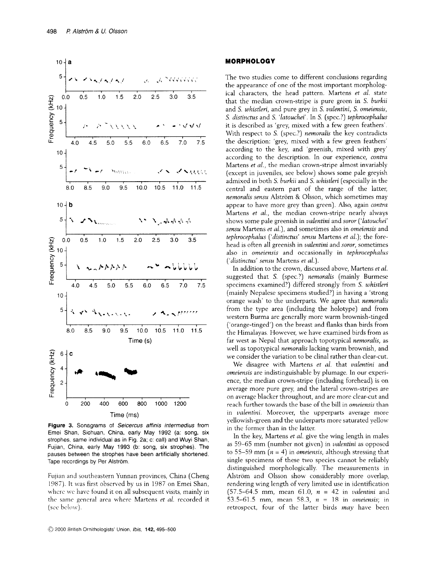

**Figure 3.** Sonagrams of *Seicercus affinis infermedius* from Emei Shan, Sichuan, China, early May 1992 (a: song, six strophes, same individual as in Fig. 2a; c: call) and Wuyi Shan, Fujian, China, early May 1993 (b: song, six strophes). The pauses between the strophes have been artificially shortened. Tape recordings by Per Alström.

Fujian and southeastern Yunnan provinces, China (Cheng 1987). It was first observed by us in 1987 on Emei Shan, where we have found it on all subsequent visits, mainly in the same general area where Martens *et al.* recorded it (see below).

#### **MORPHOLOGY**

The two studies come to different conclusions regarding the appearance of one of the most important morphological characters, the head pattern. Martens et al. state that the median crown-stripe is pure green in S. *burkii*  and *S. whistleri,* and pure grey in S. *vulentini,* S. *omeiensis, S. distinctus* and S. *'latouckei'.* In *S.* (spec.?) *tephrocephulus*  it is described as 'grey, mixed with a few green feathers'. With respect to S. (spec.?) *nemoralis* the key contradicts the description: 'grey, mixed with a few green feathers' according to the key, and 'greenish, mixed with grey' according to the description. In our experience, *contra*  Martens *et a/.,* the median crown-stripe almost invariably (except in juveniles, see below) shows some pale greyish admixed in both *S. burkii* and *S. whistleri* (especially in the central and eastern part of the range of the latter, *nemoralis sensu* Alström & Olsson, which sometimes may appear to have more grey than green). Also, again *contra*  Martens *et al.*, the median crown-stripe nearly always shows some pale greenish in *vulentini* and *soror ('latouchei' sensu* Martens *et al.),* and sometimes also in *omeiensis* and *tephrocephalus ('distinctus' sensu Martens <i>et al.*); the forehead is often all greenish in *vulentini* and *soror,* sometimes also in *omeiensis* and occasionally in *tephrocephalus ('distinctus' sensu* Martens *et ul.).* 

In addition to the crown, discussed above, Martens *et al.*  suggested that S. (spec.?) *nemoralis* (mainly Burmese specimens examined?) differed strongly from S. *whistleri*  (mainly Nepalese specimens studied?) in having a 'strong orange wash' to the underparts. We agree that *nemorulis*  from the type area (including the holotype) and from western Burma are generally more warm brownish-tinged ('orange-tinged') on the breast and flanks than birds from the Himalayas. However, we have examined birds from as far west as Nepal that approach topotypical *nemorulis,* as well as topotypical *nemoralis* lacking warm brownish, and we consider the variation to be clinal rather than clear-cut.

We disagree with Martens *et al.* that *vulentini* and *orneiensis* are indistinguishable by plumage. In our experience, the median crown-stripe (including forehead) is on average more pure grey, and the lateral crown-stripes are on average blacker throughout, and are more clear-cut and reach further towards the base of the bill in *omeiensis* than in *vakntini.* Moreover, the upperparts average more yellowish-green and the underparts more saturated yellow in the former than in the latter.

In the key, Martens *et a/.* give the wing length in males as 59-65 mm (number not given) in *valentini* as opposed to 55–59 mm  $(n = 4)$  in *omeiensis*, although stressing that single specimens of these two species cannot be reliably distinguished morphologically. The measurements in Alström and Olsson show considerably more overlap, rendering wing length of very limited use in identification (57.5-64.5 mm, mean 61.0, *n* = 42 in *valentini* and 53.5-61.5 mm, mean 58.3, *n* = 18 in *omeiensis;* in retrospect, four of the latter birds *may* have been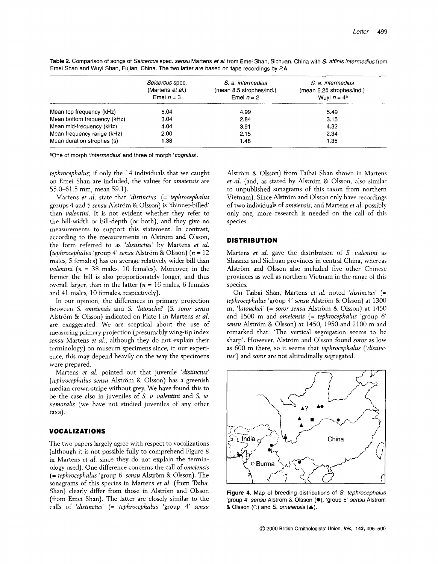Table 2. Comparison of songs of Seicercus spec. sensu Martens et al. from Emei Shan, Sichuan, China with S. affinis intermedius from Emei Shan and Wuyi Shan, Fujian, China. The two latter are based on tape recordings by P.A.

|                             | Seicercus spec.<br>(Martens et al.)<br>Emei $n = 3$ | S. a. intermedius<br>(mean 8.5 strophes/ind.)<br>Emei $n = 2$ | S. a. intermedius<br>(mean 6.25 strophes/ind.)<br>Wuyi $n = 4^a$ |
|-----------------------------|-----------------------------------------------------|---------------------------------------------------------------|------------------------------------------------------------------|
| Mean top frequency (kHz)    | 5.04                                                | 4.99                                                          | 5.49                                                             |
| Mean bottom frequency (kHz) | 3.04                                                | 2.84                                                          | 3.15                                                             |
| Mean mid-frequency (kHz)    | 4.04                                                | 3.91                                                          | 4.32                                                             |
| Mean frequency range (kHz)  | 2.00                                                | 2.15                                                          | 2.34                                                             |
| Mean duration strophes (s)  | 1.38                                                | 1.48                                                          | 1.35                                                             |

aOne of morph 'intermedius' and three of morph 'cognitus'.

*tephrocephalus;* if only the 14 individuals that we caught on Emei Shan are included, the values for *omeiensis* are 55.0-61.5 mm, mean 59.1).

Martens *et al.* state that *'distinctus'* (= *tephrocephalus*  groups 4 and 5 *semu* Alstrom & Olsson) is 'thinner-billed than *valentini.* It is not evident whether they refer to the bill-width or bill-depth (or both), and they give no measurements to support this statement. In contrast, according to the measurements in Alström and Olsson, the form referred to as *'distinctus'* by Martens *et al. (tephrocephalus 'group 4' sensu Alström & Olsson)*  $(n = 12)$ males, 5 females) has on average relatively wider bill than *vulentini [n* = *38* males, 10 females). Moreover, in the former the bill is also proportionately longer, and thus overall larger, than in the latter *[n* = 16 males, 6 females and 41 males, 10 females, respectively).

In our opinion, the differences in primary projection between S. omeiensis and S. *'latouchei'* (S. *soror sensu*  Alström & Olsson) indicated on Plate I in Martens et al. are exaggerated. We are sceptical about the use of measuring primary projection (presumably wing-tip index sensu Martens *et al.,* although they do not explain their terminology) on museum specimens since, in our experience, this may depend heavily on the way the specimens were prepared.

Martens *et al.* pointed out that juvenile *'distinctus'*  (tephrocephalus sensu Alström & Olsson) has a greenish median crown-stripe without grey. We have found this to be the case also in juveniles of S. *v. valentini* and *S. w. nernoralis* (we have not studied juveniles of any other taxa) .

## **VOCALIZATIONS**

The two papers largely agree with respect to vocalizations (although it is not possible fully to comprehend Figure 8 in Martens *et al.* since they do not explain the terminology used). One difference concerns the call of *omeiensis*  (= *tephrocephalus* 'group 6' *sensu* Alstrom & Olsson). The sonagrams of this species in Martens *et al.* (from Taibai Shan) clearly differ from those in Alström and Olsson (from Emei Shan). The latter are closely similar to the calls of 'distinctus' (= *tephrocephalus* 'group 4' sensu

Alström & Olsson) from Taibai Shan shown in Martens et al. (and, as stated by Alström & Olsson, also similar to unpublished sonagrams of this taxon from northern Vietnam). Since Alström and Olsson only have recordings of two individuals of *omeiensis,* and Martens *et al.* possibly only one, more research is needed on the call of this species.

## **DISTRIBUTION**

Martens *et al.* gave the distribution of S. *valentini* as Shaanxi and Sichuan provinces in central China, whereas Alström and Olsson also included five other Chinese provinces as well as northern Vietnam in the range of this species.

On Taibai Shan, Martens *et al.* noted *'distinctus'* [= *tephrocephalus* 'group **4'** *smu* Alstrom & Olsson) at 1300 m, *'latouchei'* (= *soror sensu* Alstrom & Olsson) at 1450 and 1500 m and *omeiensis* (= *tephrocephalus* 'group 6' sensu Alström & Olsson) at 1450, 1950 and 2100 m and remarked that: 'The vertical segregation seems to be sharp'. However, Alström and Olsson found *soror* as low as 600 m there, so it seems that *tephrocephalus ('distinctus')* and *soror* are not altitudinally segregated.



**Figure 4.** Map of breeding distributions of S. fephrocephalus 'group 4' sensu Alström & Olsson (.), 'group 5' sensu Alström & Olsson (0) and S. omeiensis **(A).**